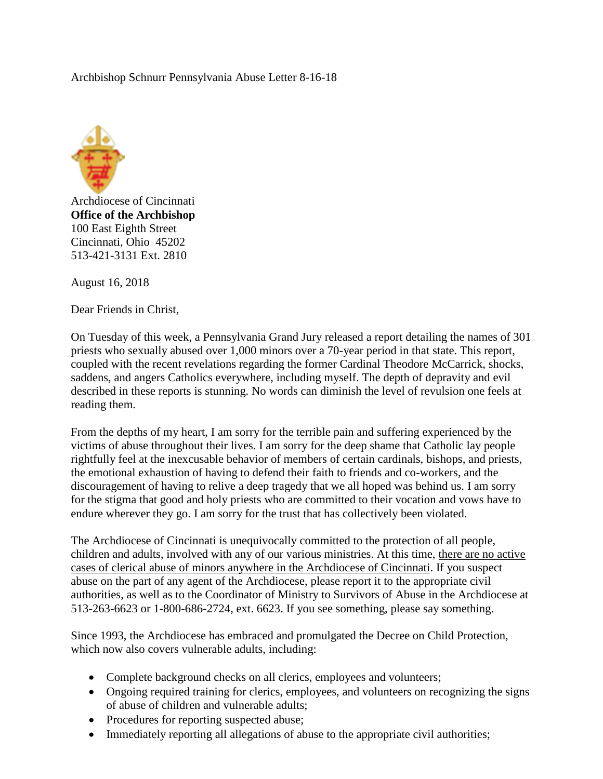## Archbishop Schnurr Pennsylvania Abuse Letter 8-16-18



Archdiocese of Cincinnati **Office of the Archbishop** 100 East Eighth Street Cincinnati, Ohio 45202 513-421-3131 Ext. 2810

August 16, 2018

Dear Friends in Christ,

On Tuesday of this week, a Pennsylvania Grand Jury released a report detailing the names of 301 priests who sexually abused over 1,000 minors over a 70-year period in that state. This report, coupled with the recent revelations regarding the former Cardinal Theodore McCarrick, shocks, saddens, and angers Catholics everywhere, including myself. The depth of depravity and evil described in these reports is stunning. No words can diminish the level of revulsion one feels at reading them.

From the depths of my heart, I am sorry for the terrible pain and suffering experienced by the victims of abuse throughout their lives. I am sorry for the deep shame that Catholic lay people rightfully feel at the inexcusable behavior of members of certain cardinals, bishops, and priests, the emotional exhaustion of having to defend their faith to friends and co-workers, and the discouragement of having to relive a deep tragedy that we all hoped was behind us. I am sorry for the stigma that good and holy priests who are committed to their vocation and vows have to endure wherever they go. I am sorry for the trust that has collectively been violated.

The Archdiocese of Cincinnati is unequivocally committed to the protection of all people, children and adults, involved with any of our various ministries. At this time, there are no active cases of clerical abuse of minors anywhere in the Archdiocese of Cincinnati. If you suspect abuse on the part of any agent of the Archdiocese, please report it to the appropriate civil authorities, as well as to the Coordinator of Ministry to Survivors of Abuse in the Archdiocese at 513-263-6623 or 1-800-686-2724, ext. 6623. If you see something, please say something.

Since 1993, the Archdiocese has embraced and promulgated the Decree on Child Protection, which now also covers vulnerable adults, including:

- Complete background checks on all clerics, employees and volunteers;
- Ongoing required training for clerics, employees, and volunteers on recognizing the signs of abuse of children and vulnerable adults;
- Procedures for reporting suspected abuse;
- Immediately reporting all allegations of abuse to the appropriate civil authorities;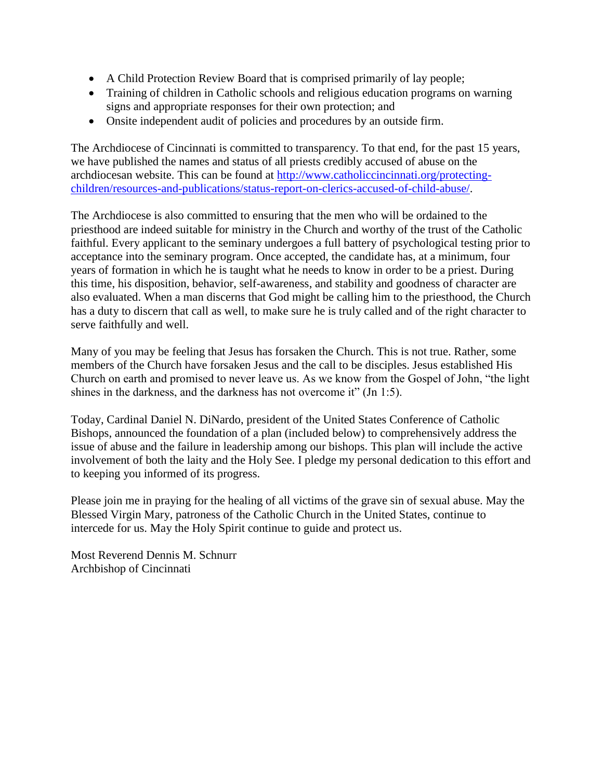- A Child Protection Review Board that is comprised primarily of lay people;
- Training of children in Catholic schools and religious education programs on warning signs and appropriate responses for their own protection; and
- Onsite independent audit of policies and procedures by an outside firm.

The Archdiocese of Cincinnati is committed to transparency. To that end, for the past 15 years, we have published the names and status of all priests credibly accused of abuse on the archdiocesan website. This can be found at [http://www.catholiccincinnati.org/protecting](http://www.catholiccincinnati.org/protecting-children/resources-and-publications/status-report-on-clerics-accused-of-child-abuse/)[children/resources-and-publications/status-report-on-clerics-accused-of-child-abuse/.](http://www.catholiccincinnati.org/protecting-children/resources-and-publications/status-report-on-clerics-accused-of-child-abuse/)

The Archdiocese is also committed to ensuring that the men who will be ordained to the priesthood are indeed suitable for ministry in the Church and worthy of the trust of the Catholic faithful. Every applicant to the seminary undergoes a full battery of psychological testing prior to acceptance into the seminary program. Once accepted, the candidate has, at a minimum, four years of formation in which he is taught what he needs to know in order to be a priest. During this time, his disposition, behavior, self-awareness, and stability and goodness of character are also evaluated. When a man discerns that God might be calling him to the priesthood, the Church has a duty to discern that call as well, to make sure he is truly called and of the right character to serve faithfully and well.

Many of you may be feeling that Jesus has forsaken the Church. This is not true. Rather, some members of the Church have forsaken Jesus and the call to be disciples. Jesus established His Church on earth and promised to never leave us. As we know from the Gospel of John, "the light shines in the darkness, and the darkness has not overcome it" (Jn 1:5).

Today, Cardinal Daniel N. DiNardo, president of the United States Conference of Catholic Bishops, announced the foundation of a plan (included below) to comprehensively address the issue of abuse and the failure in leadership among our bishops. This plan will include the active involvement of both the laity and the Holy See. I pledge my personal dedication to this effort and to keeping you informed of its progress.

Please join me in praying for the healing of all victims of the grave sin of sexual abuse. May the Blessed Virgin Mary, patroness of the Catholic Church in the United States, continue to intercede for us. May the Holy Spirit continue to guide and protect us.

Most Reverend Dennis M. Schnurr Archbishop of Cincinnati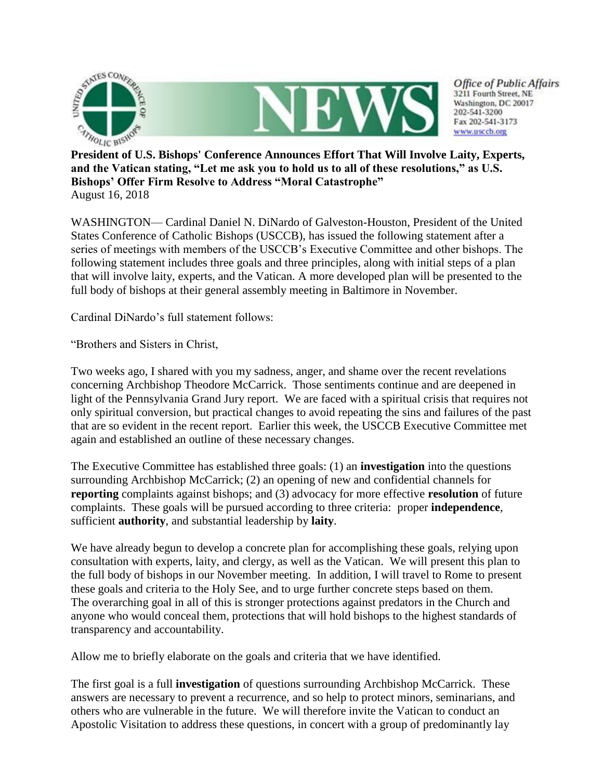

**President of U.S. Bishops' Conference Announces Effort That Will Involve Laity, Experts, and the Vatican stating, "Let me ask you to hold us to all of these resolutions," as U.S. Bishops' Offer Firm Resolve to Address "Moral Catastrophe"** August 16, 2018

WASHINGTON— Cardinal Daniel N. DiNardo of Galveston-Houston, President of the United States Conference of Catholic Bishops (USCCB), has issued the following statement after a series of meetings with members of the USCCB's Executive Committee and other bishops. The following statement includes three goals and three principles, along with initial steps of a plan that will involve laity, experts, and the Vatican. A more developed plan will be presented to the full body of bishops at their general assembly meeting in Baltimore in November.

Cardinal DiNardo's full statement follows:

"Brothers and Sisters in Christ,

Two weeks ago, I shared with you my sadness, anger, and shame over the recent revelations concerning Archbishop Theodore McCarrick. Those sentiments continue and are deepened in light of the Pennsylvania Grand Jury report. We are faced with a spiritual crisis that requires not only spiritual conversion, but practical changes to avoid repeating the sins and failures of the past that are so evident in the recent report. Earlier this week, the USCCB Executive Committee met again and established an outline of these necessary changes.

The Executive Committee has established three goals: (1) an **investigation** into the questions surrounding Archbishop McCarrick; (2) an opening of new and confidential channels for **reporting** complaints against bishops; and (3) advocacy for more effective **resolution** of future complaints. These goals will be pursued according to three criteria: proper **independence**, sufficient **authority**, and substantial leadership by **laity**.

We have already begun to develop a concrete plan for accomplishing these goals, relying upon consultation with experts, laity, and clergy, as well as the Vatican. We will present this plan to the full body of bishops in our November meeting. In addition, I will travel to Rome to present these goals and criteria to the Holy See, and to urge further concrete steps based on them. The overarching goal in all of this is stronger protections against predators in the Church and anyone who would conceal them, protections that will hold bishops to the highest standards of transparency and accountability.

Allow me to briefly elaborate on the goals and criteria that we have identified.

The first goal is a full **investigation** of questions surrounding Archbishop McCarrick. These answers are necessary to prevent a recurrence, and so help to protect minors, seminarians, and others who are vulnerable in the future. We will therefore invite the Vatican to conduct an Apostolic Visitation to address these questions, in concert with a group of predominantly lay